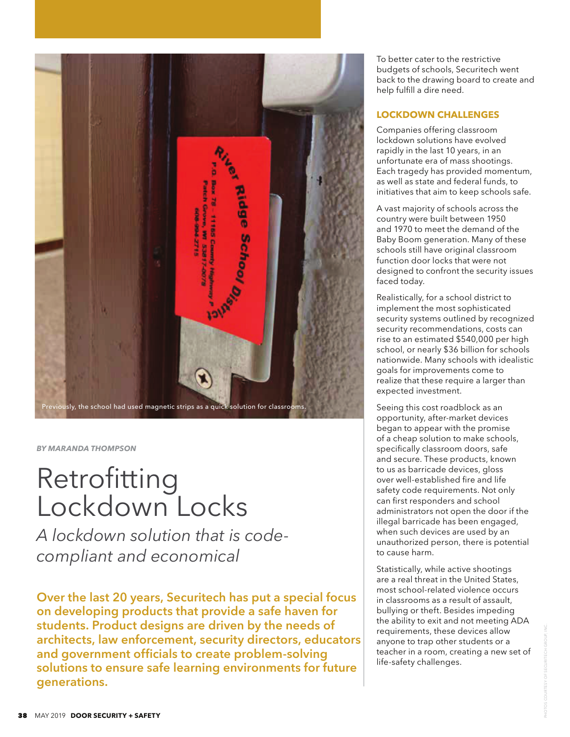

# *BY MARANDA THOMPSON*

# Retrofitting Lockdown Locks

*A lockdown solution that is codecompliant and economical*

**Over the last 20 years, Securitech has put a special focus on developing products that provide a safe haven for students. Product designs are driven by the needs of architects, law enforcement, security directors, educators**  and government officials to create problem-solving **solutions to ensure safe learning environments for future generations.** 

To better cater to the restrictive budgets of schools, Securitech went back to the drawing board to create and help fulfill a dire need.

# **LOCKDOWN CHALLENGES**

Companies offering classroom lockdown solutions have evolved rapidly in the last 10 years, in an unfortunate era of mass shootings. Each tragedy has provided momentum, as well as state and federal funds, to initiatives that aim to keep schools safe.

A vast majority of schools across the country were built between 1950 and 1970 to meet the demand of the Baby Boom generation. Many of these schools still have original classroom function door locks that were not designed to confront the security issues faced today.

Realistically, for a school district to implement the most sophisticated security systems outlined by recognized security recommendations, costs can rise to an estimated \$540,000 per high school, or nearly \$36 billion for schools nationwide. Many schools with idealistic goals for improvements come to realize that these require a larger than expected investment.

Seeing this cost roadblock as an opportunity, after-market devices began to appear with the promise of a cheap solution to make schools, specifically classroom doors, safe and secure. These products, known to us as barricade devices, gloss over well-established fire and life safety code requirements. Not only can first responders and school administrators not open the door if the illegal barricade has been engaged, when such devices are used by an unauthorized person, there is potential to cause harm.

Statistically, while active shootings are a real threat in the United States, most school-related violence occurs in classrooms as a result of assault, bullying or theft. Besides impeding the ability to exit and not meeting ADA requirements, these devices allow anyone to trap other students or a teacher in a room, creating a new set of life-safety challenges.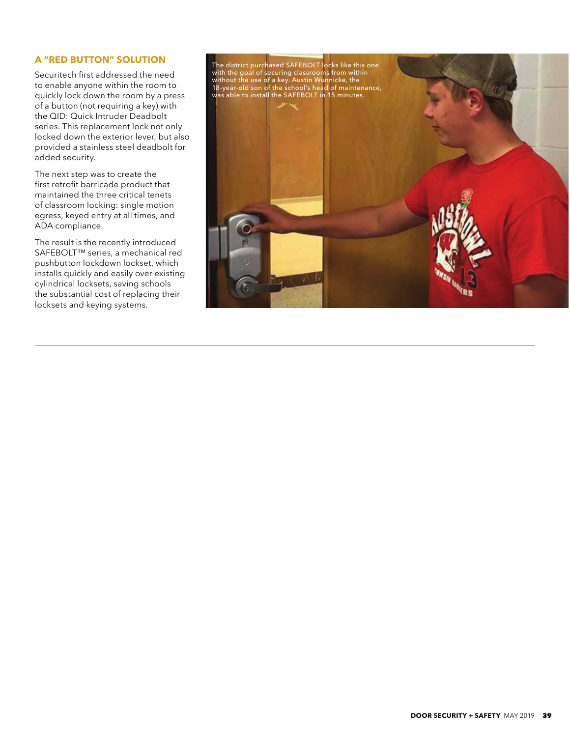# **A "RED BUTTON" SOLUTION**

Securitech first addressed the need to enable anyone within the room to quickly lock down the room by a press of a button (not requiring a key) with the QID: Quick Intruder Deadbolt series. This replacement lock not only locked down the exterior lever, but also provided a stainless steel deadbolt for added security.

The next step was to create the first retrofit barricade product that maintained the three critical tenets of classroom locking: single motion egress, keyed entry at all times, and ADA compliance.

The result is the recently introduced SAFEBOLT™ series, a mechanical red pushbutton lockdown lockset, which installs quickly and easily over existing cylindrical locksets, saving schools the substantial cost of replacing their locksets and keying systems.

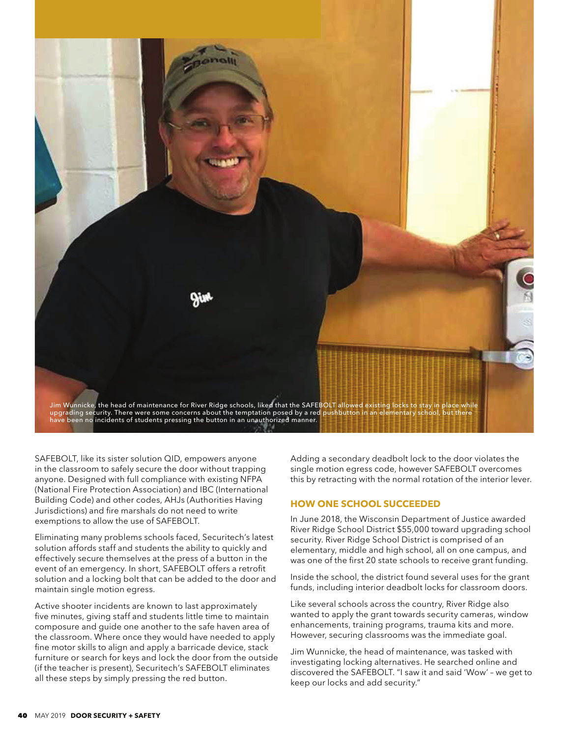

SAFEBOLT, like its sister solution QID, empowers anyone in the classroom to safely secure the door without trapping anyone. Designed with full compliance with existing NFPA (National Fire Protection Association) and IBC (International Building Code) and other codes, AHJs (Authorities Having Jurisdictions) and fire marshals do not need to write exemptions to allow the use of SAFEBOLT.

Eliminating many problems schools faced, Securitech's latest solution affords staff and students the ability to quickly and effectively secure themselves at the press of a button in the event of an emergency. In short, SAFEBOLT offers a retrofit solution and a locking bolt that can be added to the door and maintain single motion egress.

Active shooter incidents are known to last approximately five minutes, giving staff and students little time to maintain composure and guide one another to the safe haven area of the classroom. Where once they would have needed to apply fine motor skills to align and apply a barricade device, stack furniture or search for keys and lock the door from the outside (if the teacher is present), Securitech's SAFEBOLT eliminates all these steps by simply pressing the red button.

Adding a secondary deadbolt lock to the door violates the single motion egress code, however SAFEBOLT overcomes this by retracting with the normal rotation of the interior lever.

# **HOW ONE SCHOOL SUCCEEDED**

In June 2018, the Wisconsin Department of Justice awarded River Ridge School District \$55,000 toward upgrading school security. River Ridge School District is comprised of an elementary, middle and high school, all on one campus, and was one of the first 20 state schools to receive grant funding.

Inside the school, the district found several uses for the grant funds, including interior deadbolt locks for classroom doors.

Like several schools across the country, River Ridge also wanted to apply the grant towards security cameras, window enhancements, training programs, trauma kits and more. However, securing classrooms was the immediate goal.

Jim Wunnicke, the head of maintenance, was tasked with investigating locking alternatives. He searched online and discovered the SAFEBOLT. "I saw it and said 'Wow' – we get to keep our locks and add security."